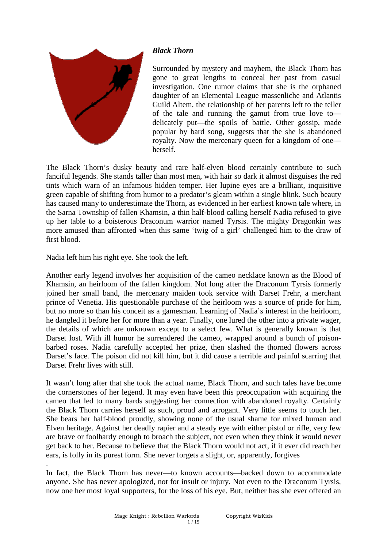

# *Black Thorn*

Surrounded by mystery and mayhem, the Black Thorn has gone to great lengths to conceal her past from casual investigation. One rumor claims that she is the orphaned daughter of an Elemental League massenliche and Atlantis Guild Altem, the relationship of her parents left to the teller of the tale and running the gamut from true love to delicately put—the spoils of battle. Other gossip, made popular by bard song, suggests that the she is abandoned royalty. Now the mercenary queen for a kingdom of one herself.

The Black Thorn's dusky beauty and rare half-elven blood certainly contribute to such fanciful legends. She stands taller than most men, with hair so dark it almost disguises the red tints which warn of an infamous hidden temper. Her lupine eyes are a brilliant, inquisitive green capable of shifting from humor to a predator's gleam within a single blink. Such beauty has caused many to underestimate the Thorn, as evidenced in her earliest known tale where, in the Sarna Township of fallen Khamsin, a thin half-blood calling herself Nadia refused to give up her table to a boisterous Draconum warrior named Tyrsis. The mighty Dragonkin was more amused than affronted when this same 'twig of a girl' challenged him to the draw of first blood.

Nadia left him his right eye. She took the left.

Another early legend involves her acquisition of the cameo necklace known as the Blood of Khamsin, an heirloom of the fallen kingdom. Not long after the Draconum Tyrsis formerly joined her small band, the mercenary maiden took service with Darset Frehr, a merchant prince of Venetia. His questionable purchase of the heirloom was a source of pride for him, but no more so than his conceit as a gamesman. Learning of Nadia's interest in the heirloom, he dangled it before her for more than a year. Finally, one lured the other into a private wager, the details of which are unknown except to a select few. What is generally known is that Darset lost. With ill humor he surrendered the cameo, wrapped around a bunch of poisonbarbed roses. Nadia carefully accepted her prize, then slashed the thorned flowers across Darset's face. The poison did not kill him, but it did cause a terrible and painful scarring that Darset Frehr lives with still.

It wasn't long after that she took the actual name, Black Thorn, and such tales have become the cornerstones of her legend. It may even have been this preoccupation with acquiring the cameo that led to many bards suggesting her connection with abandoned royalty. Certainly the Black Thorn carries herself as such, proud and arrogant. Very little seems to touch her. She bears her half-blood proudly, showing none of the usual shame for mixed human and Elven heritage. Against her deadly rapier and a steady eye with either pistol or rifle, very few are brave or foolhardy enough to broach the subject, not even when they think it would never get back to her. Because to believe that the Black Thorn would not act, if it ever did reach her ears, is folly in its purest form. She never forgets a slight, or, apparently, forgives

. In fact, the Black Thorn has never—to known accounts—backed down to accommodate anyone. She has never apologized, not for insult or injury. Not even to the Draconum Tyrsis, now one her most loyal supporters, for the loss of his eye. But, neither has she ever offered an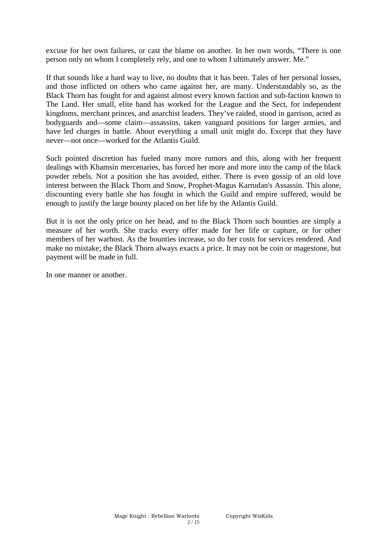excuse for her own failures, or cast the blame on another. In her own words, "There is one person only on whom I completely rely, and one to whom I ultimately answer. Me."

If that sounds like a hard way to live, no doubts that it has been. Tales of her personal losses, and those inflicted on others who came against her, are many. Understandably so, as the Black Thorn has fought for and against almost every known faction and sub-faction known to The Land. Her small, elite band has worked for the League and the Sect, for independent kingdoms, merchant princes, and anarchist leaders. They've raided, stood in garrison, acted as bodyguards and—some claim—assassins, taken vanguard positions for larger armies, and have led charges in battle. About everything a small unit might do. Except that they have never—not once—worked for the Atlantis Guild.

Such pointed discretion has fueled many more rumors and this, along with her frequent dealings with Khamsin mercenaries, has forced her more and more into the camp of the black powder rebels. Not a position she has avoided, either. There is even gossip of an old love interest between the Black Thorn and Snow, Prophet-Magus Karrudan's Assassin. This alone, discounting every battle she has fought in which the Guild and empire suffered, would be enough to justify the large bounty placed on her life by the Atlantis Guild.

But it is not the only price on her head, and to the Black Thorn such bounties are simply a measure of her worth. She tracks every offer made for her life or capture, or for other members of her warhost. As the bounties increase, so do her costs for services rendered. And make no mistake; the Black Thorn always exacts a price. It may not be coin or magestone, but payment will be made in full.

In one manner or another.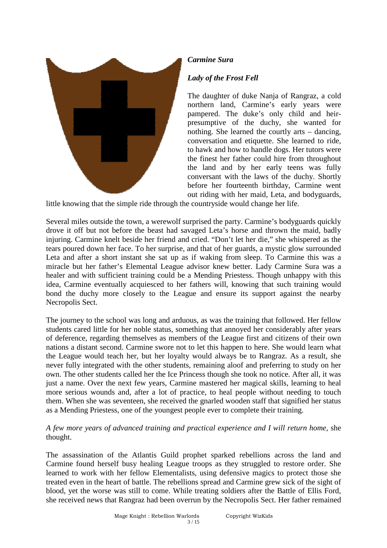

## *Carmine Sura*

## *Lady of the Frost Fell*

The daughter of duke Nanja of Rangraz, a cold northern land, Carmine's early years were pampered. The duke's only child and heirpresumptive of the duchy, she wanted for nothing. She learned the courtly arts – dancing, conversation and etiquette. She learned to ride, to hawk and how to handle dogs. Her tutors were the finest her father could hire from throughout the land and by her early teens was fully conversant with the laws of the duchy. Shortly before her fourteenth birthday, Carmine went out riding with her maid, Leta, and bodyguards,

little knowing that the simple ride through the countryside would change her life.

Several miles outside the town, a werewolf surprised the party. Carmine's bodyguards quickly drove it off but not before the beast had savaged Leta's horse and thrown the maid, badly injuring. Carmine knelt beside her friend and cried. "Don't let her die," she whispered as the tears poured down her face. To her surprise, and that of her guards, a mystic glow surrounded Leta and after a short instant she sat up as if waking from sleep. To Carmine this was a miracle but her father's Elemental League advisor knew better. Lady Carmine Sura was a healer and with sufficient training could be a Mending Priestess. Though unhappy with this idea, Carmine eventually acquiesced to her fathers will, knowing that such training would bond the duchy more closely to the League and ensure its support against the nearby Necropolis Sect.

The journey to the school was long and arduous, as was the training that followed. Her fellow students cared little for her noble status, something that annoyed her considerably after years of deference, regarding themselves as members of the League first and citizens of their own nations a distant second. Carmine swore not to let this happen to here. She would learn what the League would teach her, but her loyalty would always be to Rangraz. As a result, she never fully integrated with the other students, remaining aloof and preferring to study on her own. The other students called her the Ice Princess though she took no notice. After all, it was just a name. Over the next few years, Carmine mastered her magical skills, learning to heal more serious wounds and, after a lot of practice, to heal people without needing to touch them. When she was seventeen, she received the gnarled wooden staff that signified her status as a Mending Priestess, one of the youngest people ever to complete their training.

### *A few more years of advanced training and practical experience and I will return home*, she thought.

The assassination of the Atlantis Guild prophet sparked rebellions across the land and Carmine found herself busy healing League troops as they struggled to restore order. She learned to work with her fellow Elementalists, using defensive magics to protect those she treated even in the heart of battle. The rebellions spread and Carmine grew sick of the sight of blood, yet the worse was still to come. While treating soldiers after the Battle of Ellis Ford, she received news that Rangraz had been overrun by the Necropolis Sect. Her father remained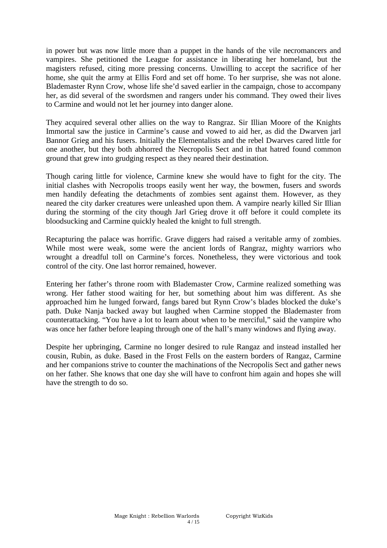in power but was now little more than a puppet in the hands of the vile necromancers and vampires. She petitioned the League for assistance in liberating her homeland, but the magisters refused, citing more pressing concerns. Unwilling to accept the sacrifice of her home, she quit the army at Ellis Ford and set off home. To her surprise, she was not alone. Blademaster Rynn Crow, whose life she'd saved earlier in the campaign, chose to accompany her, as did several of the swordsmen and rangers under his command. They owed their lives to Carmine and would not let her journey into danger alone.

They acquired several other allies on the way to Rangraz. Sir Illian Moore of the Knights Immortal saw the justice in Carmine's cause and vowed to aid her, as did the Dwarven jarl Bannor Grieg and his fusers. Initially the Elementalists and the rebel Dwarves cared little for one another, but they both abhorred the Necropolis Sect and in that hatred found common ground that grew into grudging respect as they neared their destination.

Though caring little for violence, Carmine knew she would have to fight for the city. The initial clashes with Necropolis troops easily went her way, the bowmen, fusers and swords men handily defeating the detachments of zombies sent against them. However, as they neared the city darker creatures were unleashed upon them. A vampire nearly killed Sir Illian during the storming of the city though Jarl Grieg drove it off before it could complete its bloodsucking and Carmine quickly healed the knight to full strength.

Recapturing the palace was horrific. Grave diggers had raised a veritable army of zombies. While most were weak, some were the ancient lords of Rangraz, mighty warriors who wrought a dreadful toll on Carmine's forces. Nonetheless, they were victorious and took control of the city. One last horror remained, however.

Entering her father's throne room with Blademaster Crow, Carmine realized something was wrong. Her father stood waiting for her, but something about him was different. As she approached him he lunged forward, fangs bared but Rynn Crow's blades blocked the duke's path. Duke Nanja backed away but laughed when Carmine stopped the Blademaster from counterattacking. "You have a lot to learn about when to be merciful," said the vampire who was once her father before leaping through one of the hall's many windows and flying away.

Despite her upbringing, Carmine no longer desired to rule Rangaz and instead installed her cousin, Rubin, as duke. Based in the Frost Fells on the eastern borders of Rangaz, Carmine and her companions strive to counter the machinations of the Necropolis Sect and gather news on her father. She knows that one day she will have to confront him again and hopes she will have the strength to do so.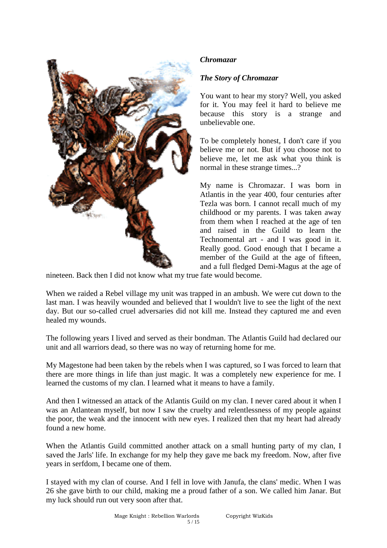

## *Chromazar*

## *The Story of Chromazar*

You want to hear my story? Well, you asked for it. You may feel it hard to believe me because this story is a strange and unbelievable one.

To be completely honest, I don't care if you believe me or not. But if you choose not to believe me, let me ask what you think is normal in these strange times...?

My name is Chromazar. I was born in Atlantis in the year 400, four centuries after Tezla was born. I cannot recall much of my childhood or my parents. I was taken away from them when I reached at the age of ten and raised in the Guild to learn the Technomental art - and I was good in it. Really good. Good enough that I became a member of the Guild at the age of fifteen, and a full fledged Demi-Magus at the age of

nineteen. Back then I did not know what my true fate would become.

When we raided a Rebel village my unit was trapped in an ambush. We were cut down to the last man. I was heavily wounded and believed that I wouldn't live to see the light of the next day. But our so-called cruel adversaries did not kill me. Instead they captured me and even healed my wounds.

The following years I lived and served as their bondman. The Atlantis Guild had declared our unit and all warriors dead, so there was no way of returning home for me.

My Magestone had been taken by the rebels when I was captured, so I was forced to learn that there are more things in life than just magic. It was a completely new experience for me. I learned the customs of my clan. I learned what it means to have a family.

And then I witnessed an attack of the Atlantis Guild on my clan. I never cared about it when I was an Atlantean myself, but now I saw the cruelty and relentlessness of my people against the poor, the weak and the innocent with new eyes. I realized then that my heart had already found a new home.

When the Atlantis Guild committed another attack on a small hunting party of my clan, I saved the Jarls' life. In exchange for my help they gave me back my freedom. Now, after five years in serfdom, I became one of them.

I stayed with my clan of course. And I fell in love with Janufa, the clans' medic. When I was 26 she gave birth to our child, making me a proud father of a son. We called him Janar. But my luck should run out very soon after that.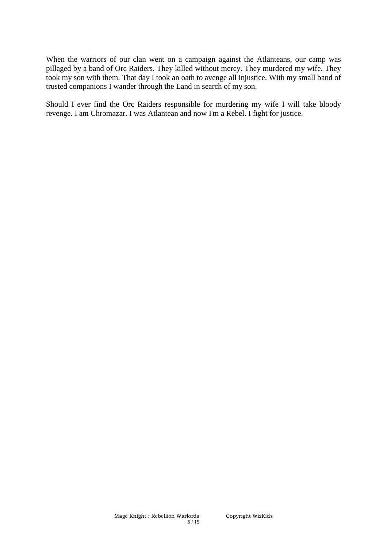When the warriors of our clan went on a campaign against the Atlanteans, our camp was pillaged by a band of Orc Raiders. They killed without mercy. They murdered my wife. They took my son with them. That day I took an oath to avenge all injustice. With my small band of trusted companions I wander through the Land in search of my son.

Should I ever find the Orc Raiders responsible for murdering my wife I will take bloody revenge. I am Chromazar. I was Atlantean and now I'm a Rebel. I fight for justice.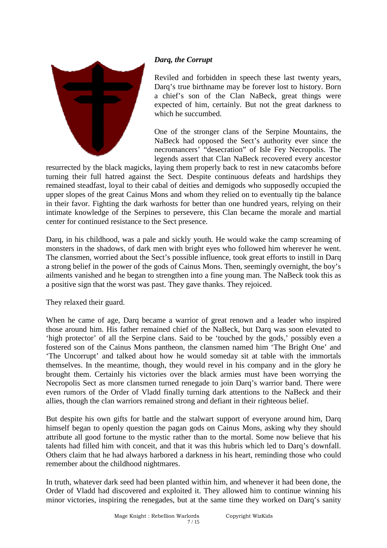

## *Darq, the Corrupt*

Reviled and forbidden in speech these last twenty years, Darq's true birthname may be forever lost to history. Born a chief's son of the Clan NaBeck, great things were expected of him, certainly. But not the great darkness to which he succumbed.

One of the stronger clans of the Serpine Mountains, the NaBeck had opposed the Sect's authority ever since the necromancers' "desecration" of Isle Fey Necropolis. The legends assert that Clan NaBeck recovered every ancestor

resurrected by the black magicks, laying them properly back to rest in new catacombs before turning their full hatred against the Sect. Despite continuous defeats and hardships they remained steadfast, loyal to their cabal of deities and demigods who supposedly occupied the upper slopes of the great Cainus Mons and whom they relied on to eventually tip the balance in their favor. Fighting the dark warhosts for better than one hundred years, relying on their intimate knowledge of the Serpines to persevere, this Clan became the morale and martial center for continued resistance to the Sect presence.

Darq, in his childhood, was a pale and sickly youth. He would wake the camp screaming of monsters in the shadows, of dark men with bright eyes who followed him wherever he went. The clansmen, worried about the Sect's possible influence, took great efforts to instill in Darq a strong belief in the power of the gods of Cainus Mons. Then, seemingly overnight, the boy's ailments vanished and he began to strengthen into a fine young man. The NaBeck took this as a positive sign that the worst was past. They gave thanks. They rejoiced.

They relaxed their guard.

When he came of age, Darq became a warrior of great renown and a leader who inspired those around him. His father remained chief of the NaBeck, but Darq was soon elevated to 'high protector' of all the Serpine clans. Said to be 'touched by the gods,' possibly even a fostered son of the Cainus Mons pantheon, the clansmen named him 'The Bright One' and 'The Uncorrupt' and talked about how he would someday sit at table with the immortals themselves. In the meantime, though, they would revel in his company and in the glory he brought them. Certainly his victories over the black armies must have been worrying the Necropolis Sect as more clansmen turned renegade to join Darq's warrior band. There were even rumors of the Order of Vladd finally turning dark attentions to the NaBeck and their allies, though the clan warriors remained strong and defiant in their righteous belief.

But despite his own gifts for battle and the stalwart support of everyone around him, Darq himself began to openly question the pagan gods on Cainus Mons, asking why they should attribute all good fortune to the mystic rather than to the mortal. Some now believe that his talents had filled him with conceit, and that it was this hubris which led to Darq's downfall. Others claim that he had always harbored a darkness in his heart, reminding those who could remember about the childhood nightmares.

In truth, whatever dark seed had been planted within him, and whenever it had been done, the Order of Vladd had discovered and exploited it. They allowed him to continue winning his minor victories, inspiring the renegades, but at the same time they worked on Darq's sanity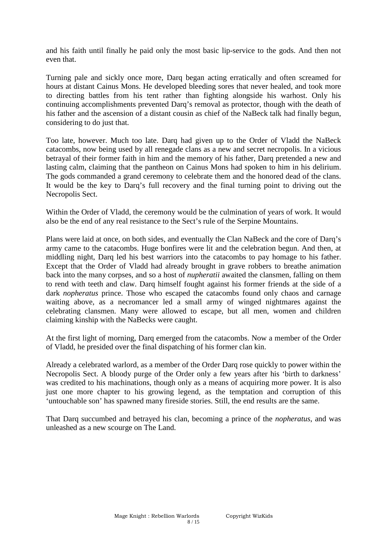and his faith until finally he paid only the most basic lip-service to the gods. And then not even that.

Turning pale and sickly once more, Darq began acting erratically and often screamed for hours at distant Cainus Mons. He developed bleeding sores that never healed, and took more to directing battles from his tent rather than fighting alongside his warhost. Only his continuing accomplishments prevented Darq's removal as protector, though with the death of his father and the ascension of a distant cousin as chief of the NaBeck talk had finally begun, considering to do just that.

Too late, however. Much too late. Darq had given up to the Order of Vladd the NaBeck catacombs, now being used by all renegade clans as a new and secret necropolis. In a vicious betrayal of their former faith in him and the memory of his father, Darq pretended a new and lasting calm, claiming that the pantheon on Cainus Mons had spoken to him in his delirium. The gods commanded a grand ceremony to celebrate them and the honored dead of the clans. It would be the key to Darq's full recovery and the final turning point to driving out the Necropolis Sect.

Within the Order of Vladd, the ceremony would be the culmination of years of work. It would also be the end of any real resistance to the Sect's rule of the Serpine Mountains.

Plans were laid at once, on both sides, and eventually the Clan NaBeck and the core of Darq's army came to the catacombs. Huge bonfires were lit and the celebration begun. And then, at middling night, Darq led his best warriors into the catacombs to pay homage to his father. Except that the Order of Vladd had already brought in grave robbers to breathe animation back into the many corpses, and so a host of *nupheratii* awaited the clansmen, falling on them to rend with teeth and claw. Darq himself fought against his former friends at the side of a dark *nopheratus* prince. Those who escaped the catacombs found only chaos and carnage waiting above, as a necromancer led a small army of winged nightmares against the celebrating clansmen. Many were allowed to escape, but all men, women and children claiming kinship with the NaBecks were caught.

At the first light of morning, Darq emerged from the catacombs. Now a member of the Order of Vladd, he presided over the final dispatching of his former clan kin.

Already a celebrated warlord, as a member of the Order Darq rose quickly to power within the Necropolis Sect. A bloody purge of the Order only a few years after his 'birth to darkness' was credited to his machinations, though only as a means of acquiring more power. It is also just one more chapter to his growing legend, as the temptation and corruption of this 'untouchable son' has spawned many fireside stories. Still, the end results are the same.

That Darq succumbed and betrayed his clan, becoming a prince of the *nopheratus*, and was unleashed as a new scourge on The Land.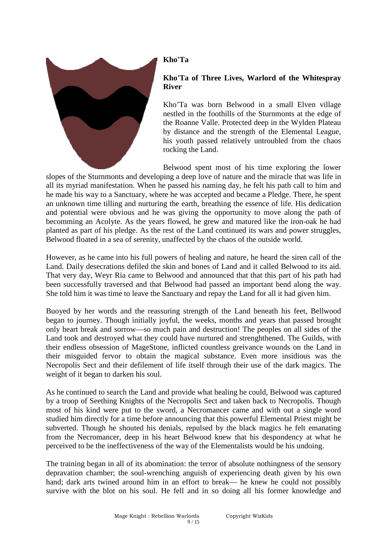

# **Kho'Ta**

# **Kho'Ta of Three Lives, Warlord of the Whitespray River**

Kho'Ta was born Belwood in a small Elven village nestled in the foothills of the Sturnmonts at the edge of the Roanne Valle. Protected deep in the Wylden Plateau by distance and the strength of the Elemental League, his youth passed relatively untroubled from the chaos rocking the Land.

Belwood spent most of his time exploring the lower slopes of the Sturnmonts and developing a deep love of nature and the miracle that was life in all its myriad manifestation. When he passed his naming day, he felt his path call to him and he made his way to a Sanctuary, where he was accepted and became a Pledge. There, he spent an unknown time tilling and nurturing the earth, breathing the essence of life. His dedication and potential were obvious and he was giving the opportunity to move along the path of becomming an Acolyte. As the years flowed, he grew and matured like the iron-oak he had planted as part of his pledge. As the rest of the Land continued its wars and power struggles, Belwood floated in a sea of serenity, unaffected by the chaos of the outside world.

However, as he came into his full powers of healing and nature, he heard the siren call of the Land. Daily desecrations defiled the skin and bones of Land and it called Belwood to its aid. That very day, Weyr Ria came to Belwood and announced that that this part of his path had been successfully traversed and that Belwood had passed an important bend along the way. She told him it was time to leave the Sanctuary and repay the Land for all it had given him.

Buoyed by her words and the reassuring strength of the Land beneath his feet, Bellwood began to journey. Though initially joyful, the weeks, months and years that passed brought only heart break and sorrow—so much pain and destruction! The peoples on all sides of the Land took and destroyed what they could have nurtured and strenghthened. The Guilds, with their endless obsession of MageStone, inflicted countless greivance wounds on the Land in their misguided fervor to obtain the magical substance. Even more insidious was the Necropolis Sect and their defilement of life itself through their use of the dark magics. The weight of it began to darken his soul.

As he continued to search the Land and provide what healing he could, Belwood was captured by a troop of Seething Knights of the Necropolis Sect and taken back to Necropolis. Though most of his kind were put to the sword, a Necromancer came and with out a single word studied him directly for a time before announcing that this powerful Elemental Priest might be subverted. Though he shouted his denials, repulsed by the black magics he felt emanating from the Necromancer, deep in his heart Belwood knew that his despondency at what he perceived to be the ineffectiveness of the way of the Elementalists would be his undoing.

The training began in all of its abomination: the terror of absolute nothingness of the sensory depravation chamber; the soul-wrenching anguish of experiencing death given by his own hand; dark arts twined around him in an effort to break— he knew he could not possibly survive with the blot on his soul. He fell and in so doing all his former knowledge and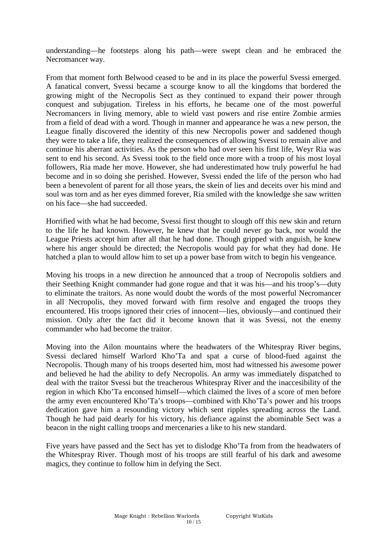understanding—he footsteps along his path—were swept clean and he embraced the Necromancer way.

From that moment forth Belwood ceased to be and in its place the powerful Svessi emerged. A fanatical convert, Svessi became a scourge know to all the kingdoms that bordered the growing might of the Necropolis Sect as they continued to expand their power through conquest and subjugation. Tireless in his efforts, he became one of the most powerful Necromancers in living memory, able to wield vast powers and rise entire Zombie armies from a field of dead with a word. Though in manner and appearance he was a new person, the League finally discovered the identity of this new Necropolis power and saddened though they were to take a life, they realized the consequences of allowing Svessi to remain alive and continue his aberrant activities. As the person who had over seen his first life, Weyr Ria was sent to end his second. As Svessi took to the field once more with a troop of his most loyal followers, Ria made her move. However, she had underestimated how truly powerful he had become and in so doing she perished. However, Svessi ended the life of the person who had been a benevolent of parent for all those years, the skein of lies and deceits over his mind and soul was torn and as her eyes dimmed forever, Ria smiled with the knowledge she saw written on his face—she had succeeded.

Horrified with what he had become, Svessi first thought to slough off this new skin and return to the life he had known. However, he knew that he could never go back, nor would the League Priests accept him after all that he had done. Though gripped with anguish, he knew where his anger should be directed; the Necropolis would pay for what they had done. He hatched a plan to would allow him to set up a power base from witch to begin his vengeance.

Moving his troops in a new direction he announced that a troop of Necropolis soldiers and their Seething Knight commander had gone rogue and that it was his—and his troop's—duty to eliminate the traitors. As none would doubt the words of the most powerful Necromancer in all Necropolis, they moved forward with firm resolve and engaged the troops they encountered. His troops ignored their cries of innocent—lies, obviously—and continued their mission. Only after the fact did it become known that it was Svessi, not the enemy commander who had become the traitor.

Moving into the Ailon mountains where the headwaters of the Whitespray River begins, Svessi declared himself Warlord Kho'Ta and spat a curse of blood-fued against the Necropolis. Though many of his troops deserted him, most had witnessed his awesome power and believed he had the ability to defy Necropolis. An army was immediately dispatched to deal with the traitor Svessi but the treacherous Whitespray River and the inaccesibility of the region in which Kho'Ta enconsed himself—which claimed the lives of a score of men before the army even encountered Kho'Ta's troops—combined with Kho'Ta's power and his troops dedication gave him a resounding victory which sent ripples spreading across the Land. Though he had paid dearly for his victory, his defiance against the abominable Sect was a beacon in the night calling troops and mercenaries a like to his new standard.

Five years have passed and the Sect has yet to dislodge Kho'Ta from from the headwaters of the Whitespray River. Though most of his troops are still fearful of his dark and awesome magics, they continue to follow him in defying the Sect.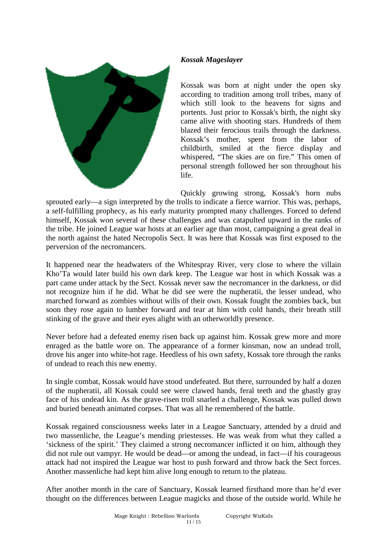### *Kossak Mageslayer*



Kossak was born at night under the open sky according to tradition among troll tribes, many of which still look to the heavens for signs and portents. Just prior to Kossak's birth, the night sky came alive with shooting stars. Hundreds of them blazed their ferocious trails through the darkness. Kossak's mother, spent from the labor of childbirth, smiled at the fierce display and whispered, "The skies are on fire." This omen of personal strength followed her son throughout his life.

Quickly growing strong, Kossak's horn nubs sprouted early—a sign interpreted by the trolls to indicate a fierce warrior. This was, perhaps, a self-fulfilling prophecy, as his early maturity prompted many challenges. Forced to defend himself, Kossak won several of these challenges and was catapulted upward in the ranks of the tribe. He joined League war hosts at an earlier age than most, campaigning a great deal in the north against the hated Necropolis Sect. It was here that Kossak was first exposed to the perversion of the necromancers.

It happened near the headwaters of the Whitespray River, very close to where the villain Kho'Ta would later build his own dark keep. The League war host in which Kossak was a part came under attack by the Sect. Kossak never saw the necromancer in the darkness, or did not recognize him if he did. What he did see were the nupheratii, the lesser undead, who marched forward as zombies without wills of their own. Kossak fought the zombies back, but soon they rose again to lumber forward and tear at him with cold hands, their breath still stinking of the grave and their eyes alight with an otherworldly presence.

Never before had a defeated enemy risen back up against him. Kossak grew more and more enraged as the battle wore on. The appearance of a former kinsman, now an undead troll, drove his anger into white-hot rage. Heedless of his own safety, Kossak tore through the ranks of undead to reach this new enemy.

In single combat, Kossak would have stood undefeated. But there, surrounded by half a dozen of the nupheratii, all Kossak could see were clawed hands, feral teeth and the ghastly gray face of his undead kin. As the grave-risen troll snarled a challenge, Kossak was pulled down and buried beneath animated corpses. That was all he remembered of the battle.

Kossak regained consciousness weeks later in a League Sanctuary, attended by a druid and two massenliche, the League's mending priestesses. He was weak from what they called a 'sickness of the spirit.' They claimed a strong necromancer inflicted it on him, although they did not rule out vampyr. He would be dead—or among the undead, in fact—if his courageous attack had not inspired the League war host to push forward and throw back the Sect forces. Another massenliche had kept him alive long enough to return to the plateau.

After another month in the care of Sanctuary, Kossak learned firsthand more than he'd ever thought on the differences between League magicks and those of the outside world. While he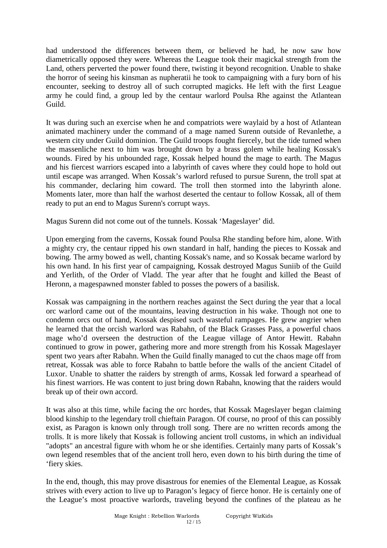had understood the differences between them, or believed he had, he now saw how diametrically opposed they were. Whereas the League took their magickal strength from the Land, others perverted the power found there, twisting it beyond recognition. Unable to shake the horror of seeing his kinsman as nupheratii he took to campaigning with a fury born of his encounter, seeking to destroy all of such corrupted magicks. He left with the first League army he could find, a group led by the centaur warlord Poulsa Rhe against the Atlantean Guild.

It was during such an exercise when he and compatriots were waylaid by a host of Atlantean animated machinery under the command of a mage named Surenn outside of Revanlethe, a western city under Guild dominion. The Guild troops fought fiercely, but the tide turned when the massenliche next to him was brought down by a brass golem while healing Kossak's wounds. Fired by his unbounded rage, Kossak helped hound the mage to earth. The Magus and his fiercest warriors escaped into a labyrinth of caves where they could hope to hold out until escape was arranged. When Kossak's warlord refused to pursue Surenn, the troll spat at his commander, declaring him coward. The troll then stormed into the labyrinth alone. Moments later, more than half the warhost deserted the centaur to follow Kossak, all of them ready to put an end to Magus Surenn's corrupt ways.

Magus Surenn did not come out of the tunnels. Kossak 'Mageslayer' did.

Upon emerging from the caverns, Kossak found Poulsa Rhe standing before him, alone. With a mighty cry, the centaur ripped his own standard in half, handing the pieces to Kossak and bowing. The army bowed as well, chanting Kossak's name, and so Kossak became warlord by his own hand. In his first year of campaigning, Kossak destroyed Magus Suniib of the Guild and Yerlith, of the Order of Vladd. The year after that he fought and killed the Beast of Heronn, a magespawned monster fabled to posses the powers of a basilisk.

Kossak was campaigning in the northern reaches against the Sect during the year that a local orc warlord came out of the mountains, leaving destruction in his wake. Though not one to condemn orcs out of hand, Kossak despised such wasteful rampages. He grew angrier when he learned that the orcish warlord was Rabahn, of the Black Grasses Pass, a powerful chaos mage who'd overseen the destruction of the League village of Antor Hewitt. Rabahn continued to grow in power, gathering more and more strength from his Kossak Mageslayer spent two years after Rabahn. When the Guild finally managed to cut the chaos mage off from retreat, Kossak was able to force Rabahn to battle before the walls of the ancient Citadel of Luxor. Unable to shatter the raiders by strength of arms, Kossak led forward a spearhead of his finest warriors. He was content to just bring down Rabahn, knowing that the raiders would break up of their own accord.

It was also at this time, while facing the orc hordes, that Kossak Mageslayer began claiming blood kinship to the legendary troll chieftain Paragon. Of course, no proof of this can possibly exist, as Paragon is known only through troll song. There are no written records among the trolls. It is more likely that Kossak is following ancient troll customs, in which an individual "adopts" an ancestral figure with whom he or she identifies. Certainly many parts of Kossak's own legend resembles that of the ancient troll hero, even down to his birth during the time of 'fiery skies.

In the end, though, this may prove disastrous for enemies of the Elemental League, as Kossak strives with every action to live up to Paragon's legacy of fierce honor. He is certainly one of the League's most proactive warlords, traveling beyond the confines of the plateau as he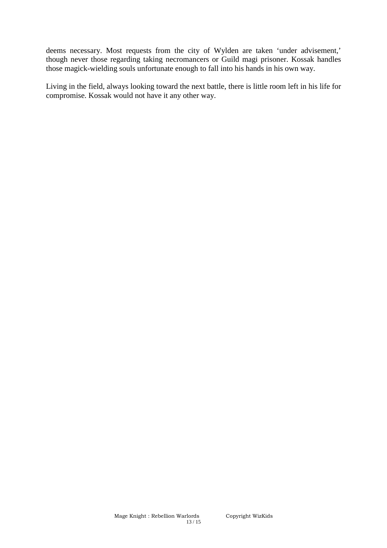deems necessary. Most requests from the city of Wylden are taken 'under advisement,' though never those regarding taking necromancers or Guild magi prisoner. Kossak handles those magick-wielding souls unfortunate enough to fall into his hands in his own way.

Living in the field, always looking toward the next battle, there is little room left in his life for compromise. Kossak would not have it any other way.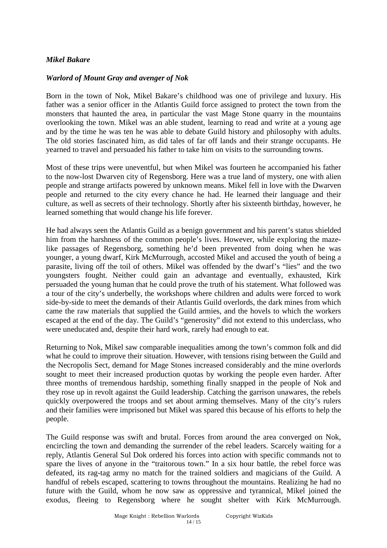#### *Mikel Bakare*

### *Warlord of Mount Gray and avenger of Nok*

Born in the town of Nok, Mikel Bakare's childhood was one of privilege and luxury. His father was a senior officer in the Atlantis Guild force assigned to protect the town from the monsters that haunted the area, in particular the vast Mage Stone quarry in the mountains overlooking the town. Mikel was an able student, learning to read and write at a young age and by the time he was ten he was able to debate Guild history and philosophy with adults. The old stories fascinated him, as did tales of far off lands and their strange occupants. He yearned to travel and persuaded his father to take him on visits to the surrounding towns.

Most of these trips were uneventful, but when Mikel was fourteen he accompanied his father to the now-lost Dwarven city of Regensborg. Here was a true land of mystery, one with alien people and strange artifacts powered by unknown means. Mikel fell in love with the Dwarven people and returned to the city every chance he had. He learned their language and their culture, as well as secrets of their technology. Shortly after his sixteenth birthday, however, he learned something that would change his life forever.

He had always seen the Atlantis Guild as a benign government and his parent's status shielded him from the harshness of the common people's lives. However, while exploring the mazelike passages of Regensborg, something he'd been prevented from doing when he was younger, a young dwarf, Kirk McMurrough, accosted Mikel and accused the youth of being a parasite, living off the toil of others. Mikel was offended by the dwarf's "lies" and the two youngsters fought. Neither could gain an advantage and eventually, exhausted, Kirk persuaded the young human that he could prove the truth of his statement. What followed was a tour of the city's underbelly, the workshops where children and adults were forced to work side-by-side to meet the demands of their Atlantis Guild overlords, the dark mines from which came the raw materials that supplied the Guild armies, and the hovels to which the workers escaped at the end of the day. The Guild's "generosity" did not extend to this underclass, who were uneducated and, despite their hard work, rarely had enough to eat.

Returning to Nok, Mikel saw comparable inequalities among the town's common folk and did what he could to improve their situation. However, with tensions rising between the Guild and the Necropolis Sect, demand for Mage Stones increased considerably and the mine overlords sought to meet their increased production quotas by working the people even harder. After three months of tremendous hardship, something finally snapped in the people of Nok and they rose up in revolt against the Guild leadership. Catching the garrison unawares, the rebels quickly overpowered the troops and set about arming themselves. Many of the city's rulers and their families were imprisoned but Mikel was spared this because of his efforts to help the people.

The Guild response was swift and brutal. Forces from around the area converged on Nok, encircling the town and demanding the surrender of the rebel leaders. Scarcely waiting for a reply, Atlantis General Sul Dok ordered his forces into action with specific commands not to spare the lives of anyone in the "traitorous town." In a six hour battle, the rebel force was defeated, its rag-tag army no match for the trained soldiers and magicians of the Guild. A handful of rebels escaped, scattering to towns throughout the mountains. Realizing he had no future with the Guild, whom he now saw as oppressive and tyrannical, Mikel joined the exodus, fleeing to Regensborg where he sought shelter with Kirk McMurrough.